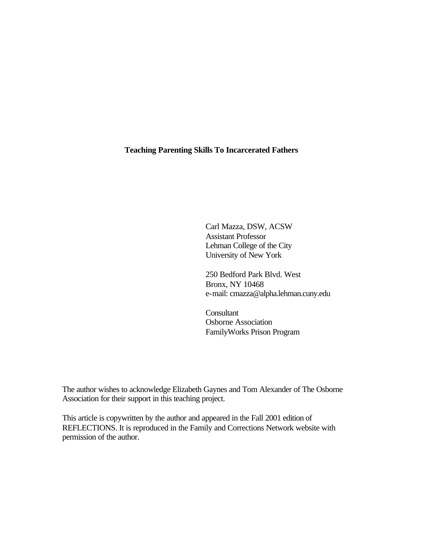# **Teaching Parenting Skills To Incarcerated Fathers**

Carl Mazza, DSW, ACSW Assistant Professor Lehman College of the City University of New York

250 Bedford Park Blvd. West Bronx, NY 10468 e-mail: cmazza@alpha.lehman.cuny.edu

**Consultant** Osborne Association FamilyWorks Prison Program

The author wishes to acknowledge Elizabeth Gaynes and Tom Alexander of The Osborne Association for their support in this teaching project.

This article is copywritten by the author and appeared in the Fall 2001 edition of REFLECTIONS. It is reproduced in the Family and Corrections Network website with permission of the author.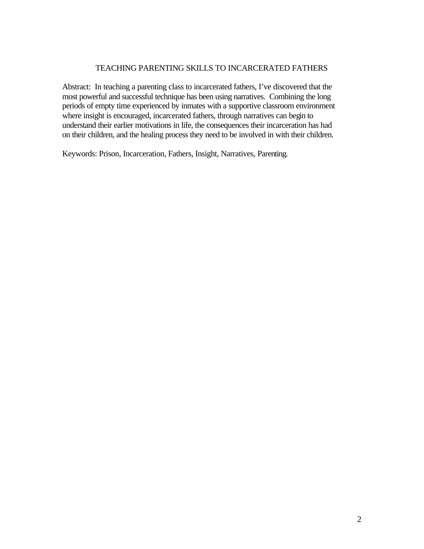# TEACHING PARENTING SKILLS TO INCARCERATED FATHERS

Abstract: In teaching a parenting class to incarcerated fathers, I've discovered that the most powerful and successful technique has been using narratives. Combining the long periods of empty time experienced by inmates with a supportive classroom environment where insight is encouraged, incarcerated fathers, through narratives can begin to understand their earlier motivations in life, the consequences their incarceration has had on their children, and the healing process they need to be involved in with their children.

Keywords: Prison, Incarceration, Fathers, Insight, Narratives, Parenting.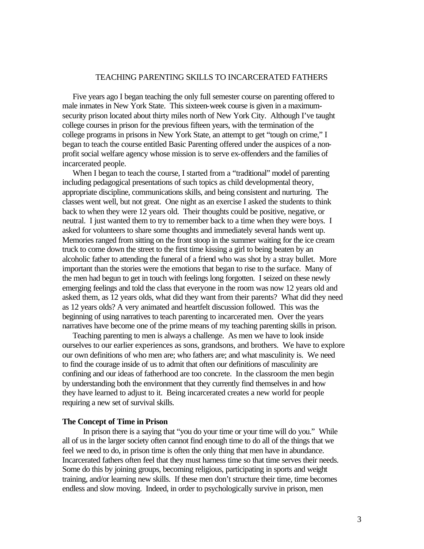# TEACHING PARENTING SKILLS TO INCARCERATED FATHERS

 Five years ago I began teaching the only full semester course on parenting offered to male inmates in New York State. This sixteen-week course is given in a maximumsecurity prison located about thirty miles north of New York City. Although I've taught college courses in prison for the previous fifteen years, with the termination of the college programs in prisons in New York State, an attempt to get "tough on crime," I began to teach the course entitled Basic Parenting offered under the auspices of a nonprofit social welfare agency whose mission is to serve ex-offenders and the families of incarcerated people.

When I began to teach the course, I started from a "traditional" model of parenting including pedagogical presentations of such topics as child developmental theory, appropriate discipline, communications skills, and being consistent and nurturing. The classes went well, but not great. One night as an exercise I asked the students to think back to when they were 12 years old. Their thoughts could be positive, negative, or neutral. I just wanted them to try to remember back to a time when they were boys. I asked for volunteers to share some thoughts and immediately several hands went up. Memories ranged from sitting on the front stoop in the summer waiting for the ice cream truck to come down the street to the first time kissing a girl to being beaten by an alcoholic father to attending the funeral of a friend who was shot by a stray bullet. More important than the stories were the emotions that began to rise to the surface. Many of the men had begun to get in touch with feelings long forgotten. I seized on these newly emerging feelings and told the class that everyone in the room was now 12 years old and asked them, as 12 years olds, what did they want from their parents? What did they need as 12 years olds? A very animated and heartfelt discussion followed. This was the beginning of using narratives to teach parenting to incarcerated men. Over the years narratives have become one of the prime means of my teaching parenting skills in prison.

 Teaching parenting to men is always a challenge. As men we have to look inside ourselves to our earlier experiences as sons, grandsons, and brothers. We have to explore our own definitions of who men are; who fathers are; and what masculinity is. We need to find the courage inside of us to admit that often our definitions of masculinity are confining and our ideas of fatherhood are too concrete. In the classroom the men begin by understanding both the environment that they currently find themselves in and how they have learned to adjust to it. Being incarcerated creates a new world for people requiring a new set of survival skills.

#### **The Concept of Time in Prison**

In prison there is a saying that "you do your time or your time will do you." While all of us in the larger society often cannot find enough time to do all of the things that we feel we need to do, in prison time is often the only thing that men have in abundance. Incarcerated fathers often feel that they must harness time so that time serves their needs. Some do this by joining groups, becoming religious, participating in sports and weight training, and/or learning new skills. If these men don't structure their time, time becomes endless and slow moving. Indeed, in order to psychologically survive in prison, men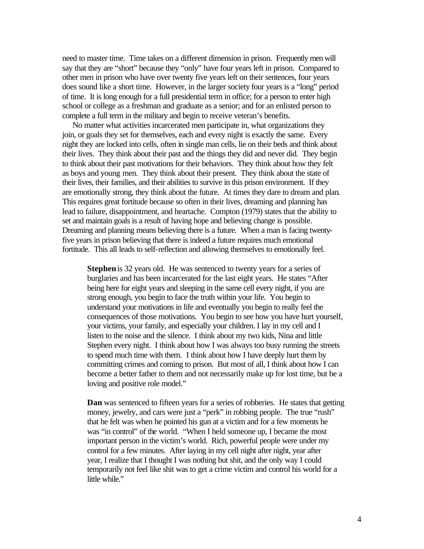need to master time. Time takes on a different dimension in prison. Frequently men will say that they are "short" because they "only" have four years left in prison. Compared to other men in prison who have over twenty five years left on their sentences, four years does sound like a short time. However, in the larger society four years is a "long" period of time. It is long enough for a full presidential term in office; for a person to enter high school or college as a freshman and graduate as a senior; and for an enlisted person to complete a full term in the military and begin to receive veteran's benefits.

 No matter what activities incarcerated men participate in, what organizations they join, or goals they set for themselves, each and every night is exactly the same. Every night they are locked into cells, often in single man cells, lie on their beds and think about their lives. They think about their past and the things they did and never did. They begin to think about their past motivations for their behaviors. They think about how they felt as boys and young men. They think about their present. They think about the state of their lives, their families, and their abilities to survive in this prison environment. If they are emotionally strong, they think about the future. At times they dare to dream and plan. This requires great fortitude because so often in their lives, dreaming and planning has lead to failure, disappointment, and heartache. Compton (1979) states that the ability to set and maintain goals is a result of having hope and believing change is possible. Dreaming and planning means believing there is a future. When a man is facing twentyfive years in prison believing that there is indeed a future requires much emotional fortitude. This all leads to self-reflection and allowing themselves to emotionally feel.

**Stephen** is 32 years old. He was sentenced to twenty years for a series of burglaries and has been incarcerated for the last eight years. He states "After being here for eight years and sleeping in the same cell every night, if you are strong enough, you begin to face the truth within your life. You begin to understand your motivations in life and eventually you begin to really feel the consequences of those motivations. You begin to see how you have hurt yourself, your victims, your family, and especially your children. I lay in my cell and I listen to the noise and the silence. I think about my two kids, Nina and little Stephen every night. I think about how I was always too busy running the streets to spend much time with them. I think about how I have deeply hurt them by committing crimes and coming to prison. But most of all, I think about how I can become a better father to them and not necessarily make up for lost time, but be a loving and positive role model."

**Dan** was sentenced to fifteen years for a series of robberies. He states that getting money, jewelry, and cars were just a "perk" in robbing people. The true "rush" that he felt was when he pointed his gun at a victim and for a few moments he was "in control" of the world. "When I held someone up, I became the most important person in the victim's world. Rich, powerful people were under my control for a few minutes. After laying in my cell night after night, year after year, I realize that I thought I was nothing but shit, and the only way I could temporarily not feel like shit was to get a crime victim and control his world for a little while."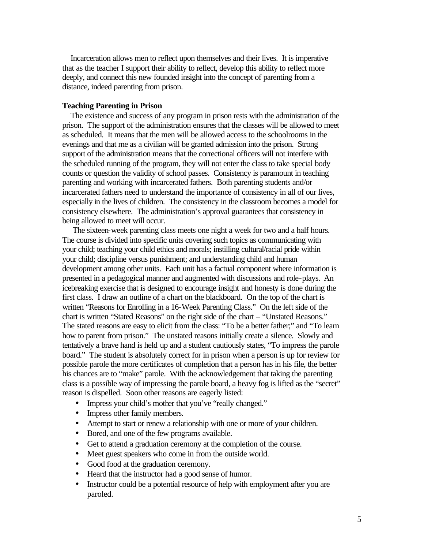Incarceration allows men to reflect upon themselves and their lives. It is imperative that as the teacher I support their ability to reflect, develop this ability to reflect more deeply, and connect this new founded insight into the concept of parenting from a distance, indeed parenting from prison.

# **Teaching Parenting in Prison**

 The existence and success of any program in prison rests with the administration of the prison. The support of the administration ensures that the classes will be allowed to meet as scheduled. It means that the men will be allowed access to the schoolrooms in the evenings and that me as a civilian will be granted admission into the prison. Strong support of the administration means that the correctional officers will not interfere with the scheduled running of the program, they will not enter the class to take special body counts or question the validity of school passes. Consistency is paramount in teaching parenting and working with incarcerated fathers. Both parenting students and/or incarcerated fathers need to understand the importance of consistency in all of our lives, especially in the lives of children. The consistency in the classroom becomes a model for consistency elsewhere. The administration's approval guarantees that consistency in being allowed to meet will occur.

 The sixteen-week parenting class meets one night a week for two and a half hours. The course is divided into specific units covering such topics as communicating with your child; teaching your child ethics and morals; instilling cultural/racial pride within your child; discipline versus punishment; and understanding child and human development among other units. Each unit has a factual component where information is presented in a pedagogical manner and augmented with discussions and role-plays. An icebreaking exercise that is designed to encourage insight and honesty is done during the first class. I draw an outline of a chart on the blackboard. On the top of the chart is written "Reasons for Enrolling in a 16-Week Parenting Class." On the left side of the chart is written "Stated Reasons" on the right side of the chart – "Unstated Reasons." The stated reasons are easy to elicit from the class: "To be a better father;" and "To learn how to parent from prison." The unstated reasons initially create a silence. Slowly and tentatively a brave hand is held up and a student cautiously states, "To impress the parole board." The student is absolutely correct for in prison when a person is up for review for possible parole the more certificates of completion that a person has in his file, the better his chances are to "make" parole. With the acknowledgement that taking the parenting class is a possible way of impressing the parole board, a heavy fog is lifted as the "secret" reason is dispelled. Soon other reasons are eagerly listed:

- Impress your child's mother that you've "really changed."
- Impress other family members.
- Attempt to start or renew a relationship with one or more of your children.
- Bored, and one of the few programs available.
- Get to attend a graduation ceremony at the completion of the course.
- Meet guest speakers who come in from the outside world.
- Good food at the graduation ceremony.
- Heard that the instructor had a good sense of humor.
- Instructor could be a potential resource of help with employment after you are paroled.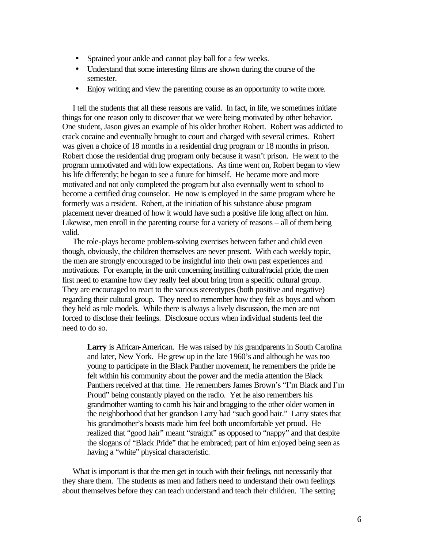- Sprained your ankle and cannot play ball for a few weeks.
- Understand that some interesting films are shown during the course of the semester.
- Enjoy writing and view the parenting course as an opportunity to write more.

 I tell the students that all these reasons are valid. In fact, in life, we sometimes initiate things for one reason only to discover that we were being motivated by other behavior. One student, Jason gives an example of his older brother Robert. Robert was addicted to crack cocaine and eventually brought to court and charged with several crimes. Robert was given a choice of 18 months in a residential drug program or 18 months in prison. Robert chose the residential drug program only because it wasn't prison. He went to the program unmotivated and with low expectations. As time went on, Robert began to view his life differently; he began to see a future for himself. He became more and more motivated and not only completed the program but also eventually went to school to become a certified drug counselor. He now is employed in the same program where he formerly was a resident. Robert, at the initiation of his substance abuse program placement never dreamed of how it would have such a positive life long affect on him. Likewise, men enroll in the parenting course for a variety of reasons – all of them being valid.

 The role-plays become problem-solving exercises between father and child even though, obviously, the children themselves are never present. With each weekly topic, the men are strongly encouraged to be insightful into their own past experiences and motivations. For example, in the unit concerning instilling cultural/racial pride, the men first need to examine how they really feel about bring from a specific cultural group. They are encouraged to react to the various stereotypes (both positive and negative) regarding their cultural group. They need to remember how they felt as boys and whom they held as role models. While there is always a lively discussion, the men are not forced to disclose their feelings. Disclosure occurs when individual students feel the need to do so.

**Larry** is African-American. He was raised by his grandparents in South Carolina and later, New York. He grew up in the late 1960's and although he was too young to participate in the Black Panther movement, he remembers the pride he felt within his community about the power and the media attention the Black Panthers received at that time. He remembers James Brown's "I'm Black and I'm Proud" being constantly played on the radio. Yet he also remembers his grandmother wanting to comb his hair and bragging to the other older women in the neighborhood that her grandson Larry had "such good hair." Larry states that his grandmother's boasts made him feel both uncomfortable yet proud. He realized that "good hair" meant "straight" as opposed to "nappy" and that despite the slogans of "Black Pride" that he embraced; part of him enjoyed being seen as having a "white" physical characteristic.

 What is important is that the men get in touch with their feelings, not necessarily that they share them. The students as men and fathers need to understand their own feelings about themselves before they can teach understand and teach their children. The setting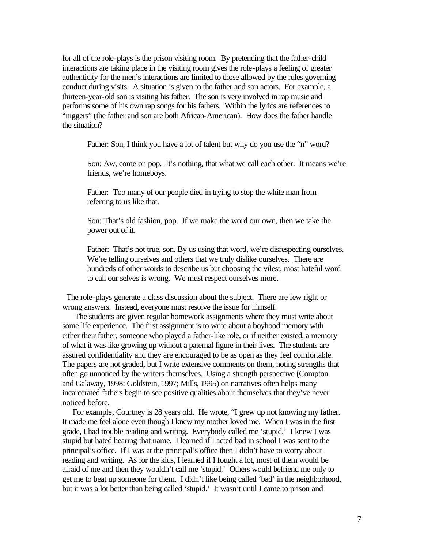for all of the role-plays is the prison visiting room. By pretending that the father-child interactions are taking place in the visiting room gives the role-plays a feeling of greater authenticity for the men's interactions are limited to those allowed by the rules governing conduct during visits. A situation is given to the father and son actors. For example, a thirteen-year-old son is visiting his father. The son is very involved in rap music and performs some of his own rap songs for his fathers. Within the lyrics are references to "niggers" (the father and son are both African-American). How does the father handle the situation?

Father: Son, I think you have a lot of talent but why do you use the "n" word?

Son: Aw, come on pop. It's nothing, that what we call each other. It means we're friends, we're homeboys.

Father: Too many of our people died in trying to stop the white man from referring to us like that.

Son: That's old fashion, pop. If we make the word our own, then we take the power out of it.

Father: That's not true, son. By us using that word, we're disrespecting ourselves. We're telling ourselves and others that we truly dislike ourselves. There are hundreds of other words to describe us but choosing the vilest, most hateful word to call our selves is wrong. We must respect ourselves more.

 The role-plays generate a class discussion about the subject. There are few right or wrong answers. Instead, everyone must resolve the issue for himself.

 The students are given regular homework assignments where they must write about some life experience. The first assignment is to write about a boyhood memory with either their father, someone who played a father-like role, or if neither existed, a memory of what it was like growing up without a paternal figure in their lives. The students are assured confidentiality and they are encouraged to be as open as they feel comfortable. The papers are not graded, but I write extensive comments on them, noting strengths that often go unnoticed by the writers themselves. Using a strength perspective (Compton and Galaway, 1998: Goldstein, 1997; Mills, 1995) on narratives often helps many incarcerated fathers begin to see positive qualities about themselves that they've never noticed before.

 For example, Courtney is 28 years old. He wrote, "I grew up not knowing my father. It made me feel alone even though I knew my mother loved me. When I was in the first grade, I had trouble reading and writing. Everybody called me 'stupid.' I knew I was stupid but hated hearing that name. I learned if I acted bad in school I was sent to the principal's office. If I was at the principal's office then I didn't have to worry about reading and writing. As for the kids, I learned if I fought a lot, most of them would be afraid of me and then they wouldn't call me 'stupid.' Others would befriend me only to get me to beat up someone for them. I didn't like being called 'bad' in the neighborhood, but it was a lot better than being called 'stupid.' It wasn't until I came to prison and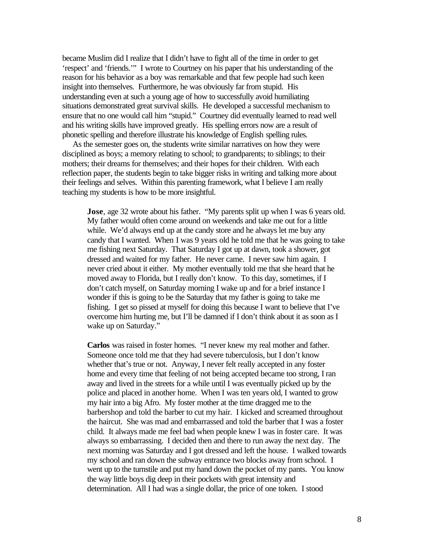became Muslim did I realize that I didn't have to fight all of the time in order to get 'respect' and 'friends.'" I wrote to Courtney on his paper that his understanding of the reason for his behavior as a boy was remarkable and that few people had such keen insight into themselves. Furthermore, he was obviously far from stupid. His understanding even at such a young age of how to successfully avoid humiliating situations demonstrated great survival skills. He developed a successful mechanism to ensure that no one would call him "stupid." Courtney did eventually learned to read well and his writing skills have improved greatly. His spelling errors now are a result of phonetic spelling and therefore illustrate his knowledge of English spelling rules.

 As the semester goes on, the students write similar narratives on how they were disciplined as boys; a memory relating to school; to grandparents; to siblings; to their mothers; their dreams for themselves; and their hopes for their children. With each reflection paper, the students begin to take bigger risks in writing and talking more about their feelings and selves. Within this parenting framework, what I believe I am really teaching my students is how to be more insightful.

**Jose**, age 32 wrote about his father. "My parents split up when I was 6 years old. My father would often come around on weekends and take me out for a little while. We'd always end up at the candy store and he always let me buy any candy that I wanted. When I was 9 years old he told me that he was going to take me fishing next Saturday. That Saturday I got up at dawn, took a shower, got dressed and waited for my father. He never came. I never saw him again. I never cried about it either. My mother eventually told me that she heard that he moved away to Florida, but I really don't know. To this day, sometimes, if I don't catch myself, on Saturday morning I wake up and for a brief instance I wonder if this is going to be the Saturday that my father is going to take me fishing. I get so pissed at myself for doing this because I want to believe that I've overcome him hurting me, but I'll be damned if I don't think about it as soon as I wake up on Saturday."

**Carlos** was raised in foster homes. "I never knew my real mother and father. Someone once told me that they had severe tuberculosis, but I don't know whether that's true or not. Anyway, I never felt really accepted in any foster home and every time that feeling of not being accepted became too strong, I ran away and lived in the streets for a while until I was eventually picked up by the police and placed in another home. When I was ten years old, I wanted to grow my hair into a big Afro. My foster mother at the time dragged me to the barbershop and told the barber to cut my hair. I kicked and screamed throughout the haircut. She was mad and embarrassed and told the barber that I was a foster child. It always made me feel bad when people knew I was in foster care. It was always so embarrassing. I decided then and there to run away the next day. The next morning was Saturday and I got dressed and left the house. I walked towards my school and ran down the subway entrance two blocks away from school. I went up to the turnstile and put my hand down the pocket of my pants. You know the way little boys dig deep in their pockets with great intensity and determination. All I had was a single dollar, the price of one token. I stood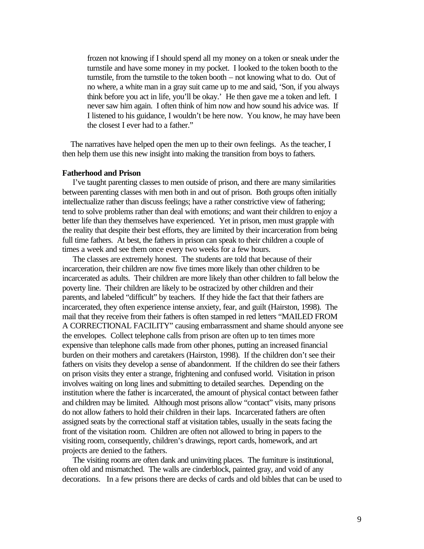frozen not knowing if I should spend all my money on a token or sneak under the turnstile and have some money in my pocket. I looked to the token booth to the turnstile, from the turnstile to the token booth – not knowing what to do. Out of no where, a white man in a gray suit came up to me and said, 'Son, if you always think before you act in life, you'll be okay.' He then gave me a token and left. I never saw him again. I often think of him now and how sound his advice was. If I listened to his guidance, I wouldn't be here now. You know, he may have been the closest I ever had to a father."

 The narratives have helped open the men up to their own feelings. As the teacher, I then help them use this new insight into making the transition from boys to fathers.

# **Fatherhood and Prison**

 I've taught parenting classes to men outside of prison, and there are many similarities between parenting classes with men both in and out of prison. Both groups often initially intellectualize rather than discuss feelings; have a rather constrictive view of fathering; tend to solve problems rather than deal with emotions; and want their children to enjoy a better life than they themselves have experienced. Yet in prison, men must grapple with the reality that despite their best efforts, they are limited by their incarceration from being full time fathers. At best, the fathers in prison can speak to their children a couple of times a week and see them once every two weeks for a few hours.

 The classes are extremely honest. The students are told that because of their incarceration, their children are now five times more likely than other children to be incarcerated as adults. Their children are more likely than other children to fall below the poverty line. Their children are likely to be ostracized by other children and their parents, and labeled "difficult" by teachers. If they hide the fact that their fathers are incarcerated, they often experience intense anxiety, fear, and guilt (Hairston, 1998). The mail that they receive from their fathers is often stamped in red letters "MAILED FROM A CORRECTIONAL FACILITY" causing embarrassment and shame should anyone see the envelopes. Collect telephone calls from prison are often up to ten times more expensive than telephone calls made from other phones, putting an increased financial burden on their mothers and caretakers (Hairston, 1998). If the children don't see their fathers on visits they develop a sense of abandonment. If the children do see their fathers on prison visits they enter a strange, frightening and confused world. Visitation in prison involves waiting on long lines and submitting to detailed searches. Depending on the institution where the father is incarcerated, the amount of physical contact between father and children may be limited. Although most prisons allow "contact" visits, many prisons do not allow fathers to hold their children in their laps. Incarcerated fathers are often assigned seats by the correctional staff at visitation tables, usually in the seats facing the front of the visitation room. Children are often not allowed to bring in papers to the visiting room, consequently, children's drawings, report cards, homework, and art projects are denied to the fathers.

 The visiting rooms are often dank and uninviting places. The furniture is institutional, often old and mismatched. The walls are cinderblock, painted gray, and void of any decorations. In a few prisons there are decks of cards and old bibles that can be used to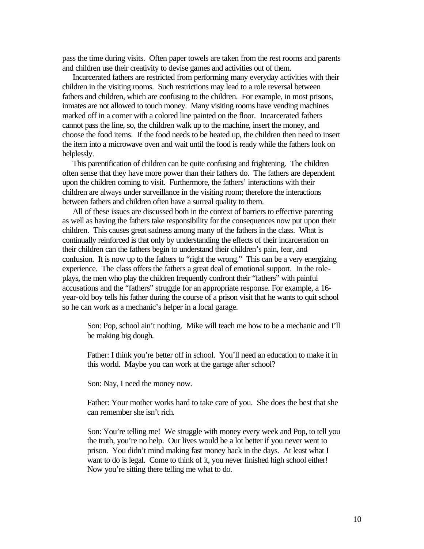pass the time during visits. Often paper towels are taken from the rest rooms and parents and children use their creativity to devise games and activities out of them.

 Incarcerated fathers are restricted from performing many everyday activities with their children in the visiting rooms. Such restrictions may lead to a role reversal between fathers and children, which are confusing to the children. For example, in most prisons, inmates are not allowed to touch money. Many visiting rooms have vending machines marked off in a corner with a colored line painted on the floor. Incarcerated fathers cannot pass the line, so, the children walk up to the machine, insert the money, and choose the food items. If the food needs to be heated up, the children then need to insert the item into a microwave oven and wait until the food is ready while the fathers look on helplessly.

 This parentification of children can be quite confusing and frightening. The children often sense that they have more power than their fathers do. The fathers are dependent upon the children coming to visit. Furthermore, the fathers' interactions with their children are always under surveillance in the visiting room; therefore the interactions between fathers and children often have a surreal quality to them.

 All of these issues are discussed both in the context of barriers to effective parenting as well as having the fathers take responsibility for the consequences now put upon their children. This causes great sadness among many of the fathers in the class. What is continually reinforced is that only by understanding the effects of their incarceration on their children can the fathers begin to understand their children's pain, fear, and confusion. It is now up to the fathers to "right the wrong." This can be a very energizing experience. The class offers the fathers a great deal of emotional support. In the roleplays, the men who play the children frequently confront their "fathers" with painful accusations and the "fathers" struggle for an appropriate response. For example, a 16 year-old boy tells his father during the course of a prison visit that he wants to quit school so he can work as a mechanic's helper in a local garage.

Son: Pop, school ain't nothing. Mike will teach me how to be a mechanic and I'll be making big dough.

Father: I think you're better off in school. You'll need an education to make it in this world. Maybe you can work at the garage after school?

Son: Nay, I need the money now.

Father: Your mother works hard to take care of you. She does the best that she can remember she isn't rich.

Son: You're telling me! We struggle with money every week and Pop, to tell you the truth, you're no help. Our lives would be a lot better if you never went to prison. You didn't mind making fast money back in the days. At least what I want to do is legal. Come to think of it, you never finished high school either! Now you're sitting there telling me what to do.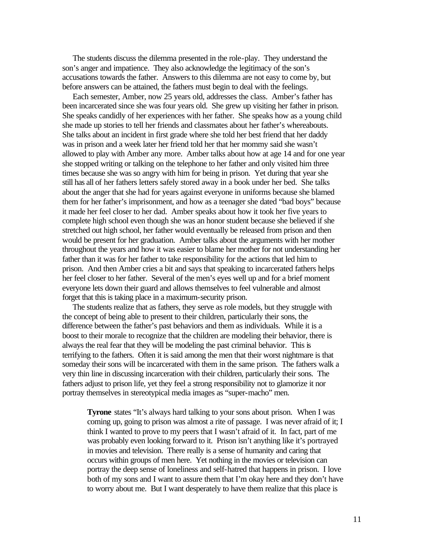The students discuss the dilemma presented in the role-play. They understand the son's anger and impatience. They also acknowledge the legitimacy of the son's accusations towards the father. Answers to this dilemma are not easy to come by, but before answers can be attained, the fathers must begin to deal with the feelings.

 Each semester, Amber, now 25 years old, addresses the class. Amber's father has been incarcerated since she was four years old. She grew up visiting her father in prison. She speaks candidly of her experiences with her father. She speaks how as a young child she made up stories to tell her friends and classmates about her father's whereabouts. She talks about an incident in first grade where she told her best friend that her daddy was in prison and a week later her friend told her that her mommy said she wasn't allowed to play with Amber any more. Amber talks about how at age 14 and for one year she stopped writing or talking on the telephone to her father and only visited him three times because she was so angry with him for being in prison. Yet during that year she still has all of her fathers letters safely stored away in a book under her bed. She talks about the anger that she had for years against everyone in uniforms because she blamed them for her father's imprisonment, and how as a teenager she dated "bad boys" because it made her feel closer to her dad. Amber speaks about how it took her five years to complete high school even though she was an honor student because she believed if she stretched out high school, her father would eventually be released from prison and then would be present for her graduation. Amber talks about the arguments with her mother throughout the years and how it was easier to blame her mother for not understanding her father than it was for her father to take responsibility for the actions that led him to prison. And then Amber cries a bit and says that speaking to incarcerated fathers helps her feel closer to her father. Several of the men's eyes well up and for a brief moment everyone lets down their guard and allows themselves to feel vulnerable and almost forget that this is taking place in a maximum-security prison.

 The students realize that as fathers, they serve as role models, but they struggle with the concept of being able to present to their children, particularly their sons, the difference between the father's past behaviors and them as individuals. While it is a boost to their morale to recognize that the children are modeling their behavior, there is always the real fear that they will be modeling the past criminal behavior. This is terrifying to the fathers. Often it is said among the men that their worst nightmare is that someday their sons will be incarcerated with them in the same prison. The fathers walk a very thin line in discussing incarceration with their children, particularly their sons. The fathers adjust to prison life, yet they feel a strong responsibility not to glamorize it nor portray themselves in stereotypical media images as "super-macho" men.

**Tyrone** states "It's always hard talking to your sons about prison. When I was coming up, going to prison was almost a rite of passage. I was never afraid of it; I think I wanted to prove to my peers that I wasn't afraid of it. In fact, part of me was probably even looking forward to it. Prison isn't anything like it's portrayed in movies and television. There really is a sense of humanity and caring that occurs within groups of men here. Yet nothing in the movies or television can portray the deep sense of loneliness and self-hatred that happens in prison. I love both of my sons and I want to assure them that I'm okay here and they don't have to worry about me. But I want desperately to have them realize that this place is